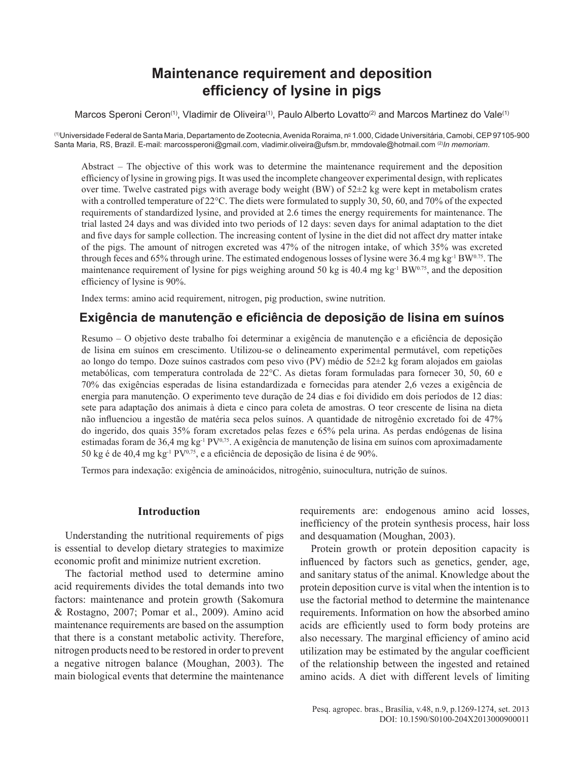# **Maintenance requirement and deposition efficiency of lysine in pigs**

Marcos Speroni Ceron<sup>(1)</sup>, Vladimir de Oliveira<sup>(1)</sup>, Paulo Alberto Lovatto<sup>(2)</sup> and Marcos Martinez do Vale<sup>(1)</sup>

(1)Universidade Federal de Santa Maria, Departamento de Zootecnia, Avenida Roraima, nº 1.000, Cidade Universitária, Camobi, CEP 97105-900 Santa Maria, RS, Brazil. E‑mail: [marcossperoni@gmail.com](mailto:marcossperoni@gmail.com), vladimir.oliveira@ufsm.br, [mmdovale@hotmail.com](mailto:mmdovale@hotmail.com) (2)*In memoriam*.

Abstract – The objective of this work was to determine the maintenance requirement and the deposition efficiency of lysine in growing pigs. It was used the incomplete changeover experimental design, with replicates over time. Twelve castrated pigs with average body weight (BW) of  $52\pm 2$  kg were kept in metabolism crates with a controlled temperature of 22 °C. The diets were formulated to supply 30, 50, 60, and 70% of the expected requirements of standardized lysine, and provided at 2.6 times the energy requirements for maintenance. The trial lasted 24 days and was divided into two periods of 12 days: seven days for animal adaptation to the diet and five days for sample collection. The increasing content of lysine in the diet did not affect dry matter intake of the pigs. The amount of nitrogen excreted was 47% of the nitrogen intake, of which 35% was excreted through feces and 65% through urine. The estimated endogenous losses of lysine were  $36.4$  mg kg<sup>-1</sup> BW<sup>0.75</sup>. The maintenance requirement of lysine for pigs weighing around 50 kg is 40.4 mg kg<sup>-1</sup> BW<sup>0.75</sup>, and the deposition efficiency of lysine is 90%.

Index terms: amino acid requirement, nitrogen, pig production, swine nutrition.

## **Exigência de manutenção e eficiência de deposição de lisina em suínos**

Resumo – O objetivo deste trabalho foi determinar a exigência de manutenção e a eficiência de deposição de lisina em suínos em crescimento. Utilizou-se o delineamento experimental permutável, com repetições ao longo do tempo. Doze suínos castrados com peso vivo (PV) médio de 52±2 kg foram alojados em gaiolas metabólicas, com temperatura controlada de 22°C. As dietas foram formuladas para fornecer 30, 50, 60 e 70% das exigências esperadas de lisina estandardizada e fornecidas para atender 2,6 vezes a exigência de energia para manutenção. O experimento teve duração de 24 dias e foi dividido em dois períodos de 12 dias: sete para adaptação dos animais à dieta e cinco para coleta de amostras. O teor crescente de lisina na dieta não influenciou a ingestão de matéria seca pelos suínos. A quantidade de nitrogênio excretado foi de 47% do ingerido, dos quais 35% foram excretados pelas fezes e 65% pela urina. As perdas endógenas de lisina estimadas foram de 36,4 mg kg<sup>-1</sup> PV<sup>0,75</sup>. A exigência de manutenção de lisina em suínos com aproximadamente 50 kg é de 40,4 mg kg<sup>-1</sup> PV<sup>0,75</sup>, e a eficiência de deposição de lisina é de 90%.

Termos para indexação: exigência de aminoácidos, nitrogênio, suinocultura, nutrição de suínos.

## **Introduction**

Understanding the nutritional requirements of pigs is essential to develop dietary strategies to maximize economic profit and minimize nutrient excretion.

The factorial method used to determine amino acid requirements divides the total demands into two factors: maintenance and protein growth (Sakomura & Rostagno, 2007; Pomar et al., 2009). Amino acid maintenance requirements are based on the assumption that there is a constant metabolic activity. Therefore, nitrogen products need to be restored in order to prevent a negative nitrogen balance (Moughan, 2003). The main biological events that determine the maintenance

requirements are: endogenous amino acid losses, inefficiency of the protein synthesis process, hair loss and desquamation (Moughan, 2003).

Protein growth or protein deposition capacity is influenced by factors such as genetics, gender, age, and sanitary status of the animal. Knowledge about the protein deposition curve is vital when the intention is to use the factorial method to determine the maintenance requirements. Information on how the absorbed amino acids are efficiently used to form body proteins are also necessary. The marginal efficiency of amino acid utilization may be estimated by the angular coefficient of the relationship between the ingested and retained amino acids. A diet with different levels of limiting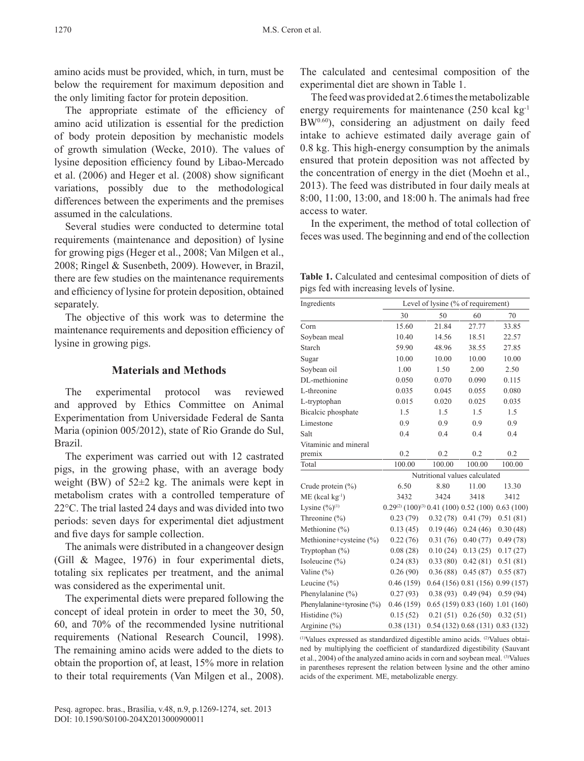amino acids must be provided, which, in turn, must be below the requirement for maximum deposition and the only limiting factor for protein deposition.

The appropriate estimate of the efficiency of amino acid utilization is essential for the prediction of body protein deposition by mechanistic models of growth simulation (Wecke, 2010). The values of lysine deposition efficiency found by Libao‑Mercado et al. (2006) and Heger et al. (2008) show significant variations, possibly due to the methodological differences between the experiments and the premises assumed in the calculations.

Several studies were conducted to determine total requirements (maintenance and deposition) of lysine for growing pigs (Heger et al., 2008; Van Milgen et al., 2008; Ringel & Susenbeth, 2009). However, in Brazil, there are few studies on the maintenance requirements and efficiency of lysine for protein deposition, obtained separately.

The objective of this work was to determine the maintenance requirements and deposition efficiency of lysine in growing pigs.

## **Materials and Methods**

The experimental protocol was reviewed and approved by Ethics Committee on Animal Experimentation from Universidade Federal de Santa Maria (opinion 005/2012), state of Rio Grande do Sul, Brazil.

The experiment was carried out with 12 castrated pigs, in the growing phase, with an average body weight (BW) of 52±2 kg. The animals were kept in metabolism crates with a controlled temperature of 22°C. The trial lasted 24 days and was divided into two periods: seven days for experimental diet adjustment and five days for sample collection.

The animals were distributed in a changeover design (Gill & Magee, 1976) in four experimental diets, totaling six replicates per treatment, and the animal was considered as the experimental unit.

The experimental diets were prepared following the concept of ideal protein in order to meet the 30, 50, 60, and 70% of the recommended lysine nutritional requirements (National Research Council, 1998). The remaining amino acids were added to the diets to obtain the proportion of, at least, 15% more in relation to their total requirements (Van Milgen et al., 2008). The calculated and centesimal composition of the experimental diet are shown in Table 1.

The feed was provided at 2.6 times the metabolizable energy requirements for maintenance  $(250 \text{ kcal kg}^{-1})$ BW<sup>0.60</sup>), considering an adjustment on daily feed intake to achieve estimated daily average gain of 0.8 kg. This high-energy consumption by the animals ensured that protein deposition was not affected by the concentration of energy in the diet (Moehn et al., 2013). The feed was distributed in four daily meals at 8:00, 11:00, 13:00, and 18:00 h. The animals had free access to water.

In the experiment, the method of total collection of feces was used. The beginning and end of the collection

**Table 1.** Calculated and centesimal composition of diets of pigs fed with increasing levels of lysine.

| Ingredients                   | Level of lysine (% of requirement)                                |          |                             |           |  |  |  |  |
|-------------------------------|-------------------------------------------------------------------|----------|-----------------------------|-----------|--|--|--|--|
|                               | 30                                                                | 50       |                             | 70        |  |  |  |  |
| Corn                          | 15.60                                                             | 21.84    | 27.77                       | 33.85     |  |  |  |  |
| Soybean meal                  | 10.40                                                             | 14.56    | 18.51                       | 22.57     |  |  |  |  |
| Starch                        | 59.90                                                             | 48.96    | 38.55                       | 27.85     |  |  |  |  |
| Sugar                         | 10.00                                                             | 10.00    | 10.00                       | 10.00     |  |  |  |  |
| Soybean oil                   | 1.00                                                              | 1.50     | 2.00                        | 2.50      |  |  |  |  |
| DL-methionine                 | 0.050                                                             | 0.070    | 0.090                       | 0.115     |  |  |  |  |
| L-threonine                   | 0.035                                                             | 0.045    | 0.055                       | 0.080     |  |  |  |  |
| L-tryptophan                  | 0.015                                                             | 0.020    | 0.025                       | 0.035     |  |  |  |  |
| Bicalcic phosphate            | 1.5                                                               | 1.5      | 1.5                         | 1.5       |  |  |  |  |
| Limestone                     | 0.9                                                               | 0.9      | 0.9                         | 0.9       |  |  |  |  |
| Salt                          | 0.4                                                               | 0.4      | 0.4                         | 0.4       |  |  |  |  |
| Vitaminic and mineral         |                                                                   |          |                             |           |  |  |  |  |
| premix                        | 0.2                                                               | 0.2      | 0.2                         | 0.2       |  |  |  |  |
| Total                         | 100.00                                                            | 100.00   | 100.00                      | 100.00    |  |  |  |  |
|                               | Nutritional values calculated                                     |          |                             |           |  |  |  |  |
| Crude protein $(\% )$         | 6.50                                                              | 8.80     | 11.00                       | 13.30     |  |  |  |  |
| $ME$ (kcal kg <sup>-1</sup> ) | 3432                                                              | 3424     | 3418                        | 3412      |  |  |  |  |
| Lysine $(\frac{9}{0})^{(1)}$  | $0.29^{(2)}$ $(100)^{(3)}$ 0.41 $(100)$ 0.52 $(100)$ 0.63 $(100)$ |          |                             |           |  |  |  |  |
| Threonine $(\% )$             | 0.23(79)                                                          | 0.32(78) | 0.41(79)                    | 0.51(81)  |  |  |  |  |
| Methionine (%)                | 0.13(45)                                                          | 0.19(46) | 0.24(46)                    | 0.30(48)  |  |  |  |  |
| Methionine+cysteine (%)       | 0.22(76)                                                          | 0.31(76) | 0.40(77)                    | 0.49(78)  |  |  |  |  |
| Tryptophan $(\%)$             | 0.08(28)                                                          | 0.10(24) | 0.13(25)                    | 0.17(27)  |  |  |  |  |
| Isoleucine (%)                | 0.24(83)                                                          | 0.33(80) | 0.42(81)                    | 0.51(81)  |  |  |  |  |
| Valine $(\% )$                | 0.26(90)                                                          | 0.36(88) | 0.45(87)                    | 0.55(87)  |  |  |  |  |
| Leucine (%)                   | 0.46(159)                                                         |          | 0.64(156)0.81(156)          | 0.99(157) |  |  |  |  |
| Phenylalanine $(\% )$         | 0.27(93)                                                          | 0.38(93) | 0.49(94)                    | 0.59(94)  |  |  |  |  |
| Phenylalanine+tyrosine (%)    | 0.46(159)                                                         |          | 0.65(159)0.83(160)          | 1.01(160) |  |  |  |  |
| Histidine (%)                 | 0.15(52)                                                          | 0.21(51) | 0.26(50)                    | 0.32(51)  |  |  |  |  |
| Arginine $(\% )$              | 0.38(131)                                                         |          | 0.54(132)0.68(131)0.83(132) |           |  |  |  |  |

 $(1)$ Values expressed as standardized digestible amino acids.  $(2)$ Values obtai– ned by multiplying the coefficient of standardized digestibility (Sauvant et al., 2004) of the analyzed amino acids in corn and soybean meal. (3)Values in parentheses represent the relation between lysine and the other amino acids of the experiment. ME, metabolizable energy.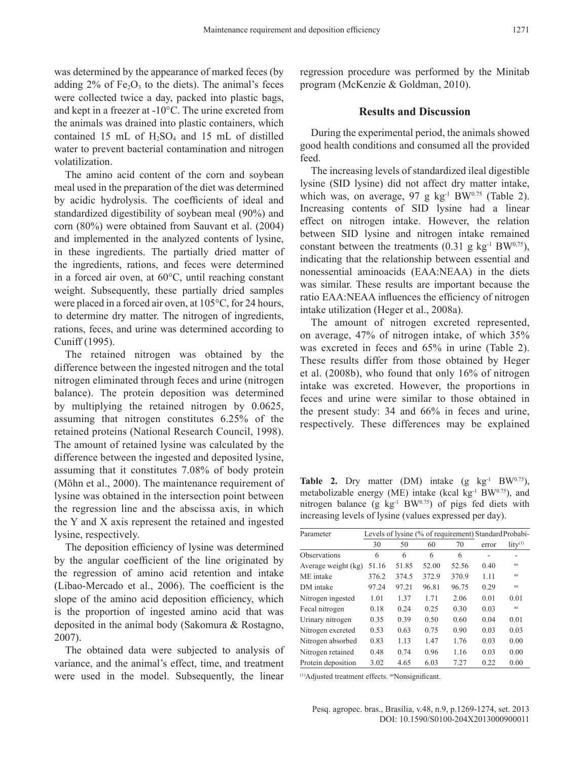was determined by the appearance of marked feces (by adding  $2\%$  of Fe<sub>2</sub>O<sub>3</sub> to the diets). The animal's feces were collected twice a day, packed into plastic bags, and kept in a freezer at ‑10°C. The urine excreted from the animals was drained into plastic containers, which contained 15 mL of  $H_2SO_4$  and 15 mL of distilled water to prevent bacterial contamination and nitrogen volatilization.

The amino acid content of the corn and soybean meal used in the preparation of the diet was determined by acidic hydrolysis. The coefficients of ideal and standardized digestibility of soybean meal (90%) and corn (80%) were obtained from Sauvant et al. (2004) and implemented in the analyzed contents of lysine, in these ingredients. The partially dried matter of the ingredients, rations, and feces were determined in a forced air oven, at 60°C, until reaching constant weight. Subsequently, these partially dried samples were placed in a forced air oven, at 105°C, for 24 hours, to determine dry matter. The nitrogen of ingredients, rations, feces, and urine was determined according to Cuniff (1995).

The retained nitrogen was obtained by the difference between the ingested nitrogen and the total nitrogen eliminated through feces and urine (nitrogen balance). The protein deposition was determined by multiplying the retained nitrogen by 0.0625, assuming that nitrogen constitutes 6.25% of the retained proteins (National Research Council, 1998). The amount of retained lysine was calculated by the difference between the ingested and deposited lysine, assuming that it constitutes 7.08% of body protein (Möhn et al., 2000). The maintenance requirement of lysine was obtained in the intersection point between the regression line and the abscissa axis, in which the Y and X axis represent the retained and ingested lysine, respectively.

The deposition efficiency of lysine was determined by the angular coefficient of the line originated by the regression of amino acid retention and intake (Libao‑Mercado et al., 2006). The coefficient is the slope of the amino acid deposition efficiency, which is the proportion of ingested amino acid that was deposited in the animal body (Sakomura & Rostagno, 2007).

The obtained data were subjected to analysis of variance, and the animal's effect, time, and treatment were used in the model. Subsequently, the linear

regression procedure was performed by the Minitab program (McKenzie & Goldman, 2010).

#### **Results and Discussion**

During the experimental period, the animals showed good health conditions and consumed all the provided feed.

The increasing levels of standardized ileal digestible lysine (SID lysine) did not affect dry matter intake, which was, on average,  $97$  g kg<sup>-1</sup> BW<sup>0.75</sup> (Table 2). Increasing contents of SID lysine had a linear effect on nitrogen intake. However, the relation between SID lysine and nitrogen intake remained constant between the treatments  $(0.31 \text{ g kg}^{-1} \text{BW}^{0.75})$ , indicating that the relationship between essential and nonessential aminoacids (EAA:NEAA) in the diets was similar. These results are important because the ratio EAA:NEAA influences the efficiency of nitrogen intake utilization (Heger et al., 2008a).

The amount of nitrogen excreted represented, on average, 47% of nitrogen intake, of which 35% was excreted in feces and 65% in urine (Table 2). These results differ from those obtained by Heger et al. (2008b), who found that only 16% of nitrogen intake was excreted. However, the proportions in feces and urine were similar to those obtained in the present study: 34 and 66% in feces and urine, respectively. These differences may be explained

**Table 2.** Dry matter (DM) intake  $(g \text{ kg}^{-1} BW^{0.75})$ , metabolizable energy (ME) intake (kcal kg $^{-1}$  BW $^{0.75}$ ), and nitrogen balance (g  $kg^{-1}BW^{0.75}$ ) of pigs fed diets with increasing levels of lysine (values expressed per day).

| Parameter           | Levels of lysine (% of requirement) Standard Probabi- |       |       |       |       |                     |
|---------------------|-------------------------------------------------------|-------|-------|-------|-------|---------------------|
|                     | 30                                                    | 50    | 60    | 70    | error | litv <sup>(1)</sup> |
| <b>Observations</b> | 6                                                     | 6     | 6     | 6     |       | -                   |
| Average weight (kg) | 51.16                                                 | 51.85 | 52.00 | 52.56 | 0.40  | ns                  |
| ME intake           | 376.2                                                 | 374.5 | 372.9 | 370.9 | 1.11  | ns                  |
| DM intake           | 97.24                                                 | 97.21 | 96.81 | 96.75 | 0.29  | ns                  |
| Nitrogen ingested   | 1.01                                                  | 1.37  | 1.71  | 2.06  | 0.01  | 0.01                |
| Fecal nitrogen      | 0.18                                                  | 0.24  | 0.25  | 0.30  | 0.03  | ns.                 |
| Urinary nitrogen    | 0.35                                                  | 0.39  | 0.50  | 0.60  | 0.04  | 0.01                |
| Nitrogen excreted   | 0.53                                                  | 0.63  | 0.75  | 0.90  | 0.03  | 0.03                |
| Nitrogen absorbed   | 0.83                                                  | 1.13  | 1.47  | 1.76  | 0.03  | 0.00                |
| Nitrogen retained   | 0.48                                                  | 0.74  | 0.96  | 1.16  | 0.03  | 0.00                |
| Protein deposition  | 3.02                                                  | 4.65  | 6.03  | 7.27  | 0.22  | 0.00                |

(1)Adjusted treatment effects. nsNonsignificant.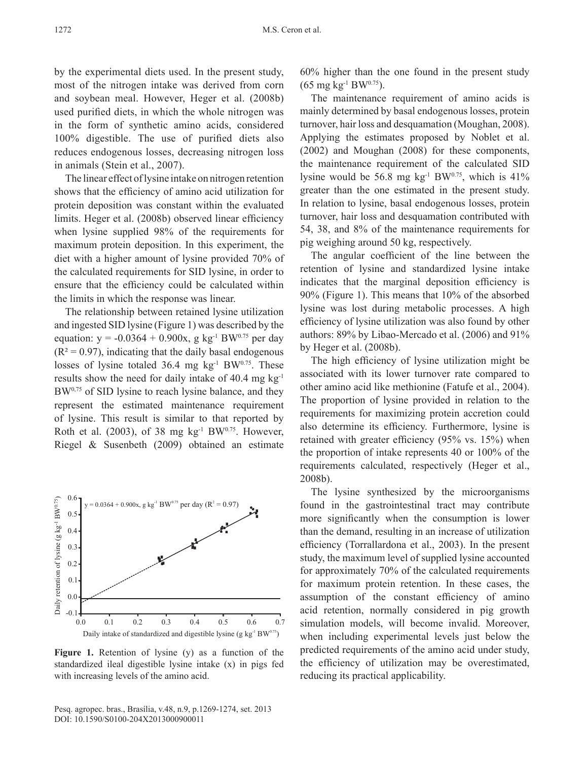by the experimental diets used. In the present study, most of the nitrogen intake was derived from corn and soybean meal. However, Heger et al. (2008b) used purified diets, in which the whole nitrogen was in the form of synthetic amino acids, considered 100% digestible. The use of purified diets also reduces endogenous losses, decreasing nitrogen loss in animals (Stein et al., 2007).

The linear effect of lysine intake on nitrogen retention shows that the efficiency of amino acid utilization for protein deposition was constant within the evaluated limits. Heger et al. (2008b) observed linear efficiency when lysine supplied 98% of the requirements for maximum protein deposition. In this experiment, the diet with a higher amount of lysine provided 70% of the calculated requirements for SID lysine, in order to ensure that the efficiency could be calculated within the limits in which the response was linear.

The relationship between retained lysine utilization and ingested SID lysine (Figure 1) was described by the equation:  $y = -0.0364 + 0.900x$ , g kg<sup>-1</sup> BW<sup>0.75</sup> per day  $(R<sup>2</sup> = 0.97)$ , indicating that the daily basal endogenous losses of lysine totaled  $36.4$  mg kg<sup>-1</sup> BW<sup>0.75</sup>. These results show the need for daily intake of 40.4 mg  $kg^{-1}$ BW<sup>0,75</sup> of SID lysine to reach lysine balance, and they represent the estimated maintenance requirement of lysine. This result is similar to that reported by Roth et al. (2003), of 38 mg  $kg<sup>-1</sup> BW<sup>0.75</sup>$ . However, Riegel & Susenbeth (2009) obtained an estimate



**Figure 1.** Retention of lysine (y) as a function of the standardized ileal digestible lysine intake (x) in pigs fed with increasing levels of the amino acid.

Pesq. agropec. bras., Brasília, v.48, n.9, p.1269-1274, set. 2013 [DOI: 10.1590/S0100-204X2013000900011](http://dx.doi.org/10.1590/S0100-204X2013000900011)

60% higher than the one found in the present study  $(65 \text{ mg kg}^{-1} \text{BW}^{0.75}).$ 

The maintenance requirement of amino acids is mainly determined by basal endogenous losses, protein turnover, hair loss and desquamation (Moughan, 2008). Applying the estimates proposed by Noblet et al. (2002) and Moughan (2008) for these components, the maintenance requirement of the calculated SID lysine would be 56.8 mg kg<sup>-1</sup> BW<sup>0.75</sup>, which is 41% greater than the one estimated in the present study. In relation to lysine, basal endogenous losses, protein turnover, hair loss and desquamation contributed with 54, 38, and 8% of the maintenance requirements for pig weighing around 50 kg, respectively.

The angular coefficient of the line between the retention of lysine and standardized lysine intake indicates that the marginal deposition efficiency is 90% (Figure 1). This means that 10% of the absorbed lysine was lost during metabolic processes. A high efficiency of lysine utilization was also found by other authors: 89% by Libao‑Mercado et al. (2006) and 91% by Heger et al. (2008b).

The high efficiency of lysine utilization might be associated with its lower turnover rate compared to other amino acid like methionine (Fatufe et al., 2004). The proportion of lysine provided in relation to the requirements for maximizing protein accretion could also determine its efficiency. Furthermore, lysine is retained with greater efficiency (95% vs. 15%) when the proportion of intake represents 40 or 100% of the requirements calculated, respectively (Heger et al., 2008b).

The lysine synthesized by the microorganisms found in the gastrointestinal tract may contribute more significantly when the consumption is lower than the demand, resulting in an increase of utilization efficiency (Torrallardona et al., 2003). In the present study, the maximum level of supplied lysine accounted for approximately 70% of the calculated requirements for maximum protein retention. In these cases, the assumption of the constant efficiency of amino acid retention, normally considered in pig growth simulation models, will become invalid. Moreover, when including experimental levels just below the predicted requirements of the amino acid under study, the efficiency of utilization may be overestimated, reducing its practical applicability.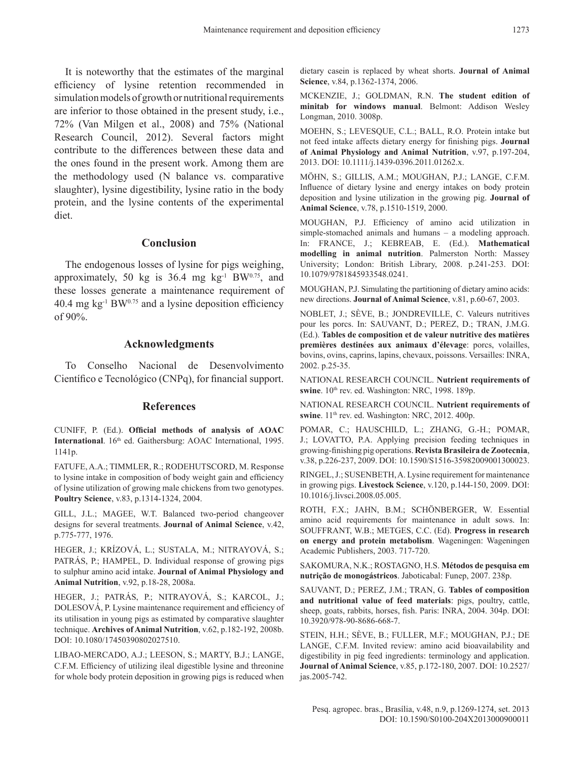It is noteworthy that the estimates of the marginal efficiency of lysine retention recommended in simulation models of growth or nutritional requirements are inferior to those obtained in the present study, i.e., 72% (Van Milgen et al., 2008) and 75% (National Research Council, 2012). Several factors might contribute to the differences between these data and the ones found in the present work. Among them are the methodology used (N balance vs. comparative slaughter), lysine digestibility, lysine ratio in the body protein, and the lysine contents of the experimental diet.

#### **Conclusion**

The endogenous losses of lysine for pigs weighing, approximately, 50 kg is  $36.4$  mg kg<sup>-1</sup> BW $^{0.75}$ , and these losses generate a maintenance requirement of 40.4 mg kg $^{-1}$  BW $^{0.75}$  and a lysine deposition efficiency of 90%.

#### **Acknowledgments**

To Conselho Nacional de Desenvolvimento Científico e Tecnológico (CNPq), for financial support.

### **References**

CUNIFF, P. (Ed.). **Official methods of analysis of AOAC International**. 16<sup>th</sup> ed. Gaithersburg: AOAC International, 1995. 1141p.

FATUFE, A.A.; TIMMLER, R.; RODEHUTSCORD, M. Response to lysine intake in composition of body weight gain and efficiency of lysine utilization of growing male chickens from two genotypes. **Poultry Science**, v.83, p.1314‑1324, 2004.

GILL, J.L.; MAGEE, W.T. Balanced two-period changeover designs for several treatments. **Journal of Animal Science**, v.42, p.775‑777, 1976.

HEGER, J.; KRÍZOVÁ, L.; SUSTALA, M.; NITRAYOVÁ, S.; PATRÁS, P.; HAMPEL, D. Individual response of growing pigs to sulphur amino acid intake. **Journal of Animal Physiology and Animal Nutrition**, v.92, p.18‑28, 2008a.

HEGER, J.; PATRÁS, P.; NITRAYOVÁ, S.; KARCOL, J.; DOLESOVÁ, P. Lysine maintenance requirement and efficiency of its utilisation in young pigs as estimated by comparative slaughter technique. **Archives of Animal Nutrition**, v.62, p.182‑192, 2008b. [DOI: 10.1080/17450390802027510.](http://dx.doi.org/10.1080/17450390802027510) 

LIBAO‑MERCADO, A.J.; LEESON, S.; MARTY, B.J.; LANGE, C.F.M. Efficiency of utilizing ileal digestible lysine and threonine for whole body protein deposition in growing pigs is reduced when dietary casein is replaced by wheat shorts. **Journal of Animal**  Science, v.84, p.1362-1374, 2006.

MCKENZIE, J.; GOLDMAN, R.N. **The student edition of minitab for windows manual**. Belmont: Addison Wesley Longman, 2010. 3008p.

MOEHN, S.; LEVESQUE, C.L.; BALL, R.O. Protein intake but not feed intake affects dietary energy for finishing pigs. **Journal of Animal Physiology and Animal Nutrition**, v.97, p.197‑204, 2013. [DOI: 10.1111/j.1439‑0396.2011.01262.x.](http://dx.doi.org/10.1111/j.1439-0396.2011.01262.x)

MÖHN, S.; GILLIS, A.M.; MOUGHAN, P.J.; LANGE, C.F.M. Influence of dietary lysine and energy intakes on body protein deposition and lysine utilization in the growing pig. **Journal of Animal Science**, v.78, p.1510‑1519, 2000.

MOUGHAN, P.J. Efficiency of amino acid utilization in simple-stomached animals and humans – a modeling approach. In: FRANCE, J.; KEBREAB, E. (Ed.). **Mathematical modelling in animal nutrition**. Palmerston North: Massey University; London: British Library, 2008. p.241‑253. [DOI:](http://dx.doi.org/10.1079/9781845933548.0241
)  [10.1079/9781845933548.0241.](http://dx.doi.org/10.1079/9781845933548.0241
)

MOUGHAN, P.J. Simulating the partitioning of dietary amino acids: new directions. **Journal of Animal Science**, v.81, p.60‑67, 2003.

NOBLET, J.; SÈVE, B.; JONDREVILLE, C. Valeurs nutritives pour les porcs. In: SAUVANT, D.; PEREZ, D.; TRAN, J.M.G. (Ed.). **Tables de composition et de valeur nutritive des matières premières destinées aux animaux d'élevage**: porcs, volailles, bovins, ovins, caprins, lapins, chevaux, poissons. Versailles: INRA, 2002. p.25‑35.

NATIONAL RESEARCH COUNCIL. **Nutrient requirements of**  swine. 10<sup>th</sup> rev. ed. Washington: NRC, 1998. 189p.

NATIONAL RESEARCH COUNCIL. **Nutrient requirements of**  swine. 11<sup>th</sup> rev. ed. Washington: NRC, 2012. 400p.

POMAR, C.; HAUSCHILD, L.; ZHANG, G.-H.; POMAR, J.; LOVATTO, P.A. Applying precision feeding techniques in growing‑finishing pig operations. **Revista Brasileira de Zootecnia**, v.38, p.226‑237, 2009. [DOI: 10.1590/S1516‑35982009001300023.](http://dx.doi.org/10.1590/S1516-35982009001300023) 

RINGEL, J.; SUSENBETH, A. Lysine requirement for maintenance in growing pigs. **Livestock Science**, v.120, p.144‑150, 2009. [DOI:](http://dx.doi.org/10.1016/j.livsci.2008.05.005)  [10.1016/j.livsci.2008.05.005.](http://dx.doi.org/10.1016/j.livsci.2008.05.005)

ROTH, F.X.; JAHN, B.M.; SCHÖNBERGER, W. Essential amino acid requirements for maintenance in adult sows. In: SOUFFRANT, W.B.; METGES, C.C. (Ed). **Progress in research on energy and protein metabolism**. Wageningen: Wageningen Academic Publishers, 2003. 717‑720.

SAKOMURA, N.K.; ROSTAGNO, H.S. **Métodos de pesquisa em nutrição de monogástricos**. Jaboticabal: Funep, 2007. 238p.

SAUVANT, D.; PEREZ, J.M.; TRAN, G. **Tables of composition and nutritional value of feed materials**: pigs, poultry, cattle, sheep, goats, rabbits, horses, fish. Paris: INRA, 2004. 304p. [DOI:](http://dx.doi.org/10.3920/978-90-8686-668-7)  [10.3920/978‑90‑8686‑668‑7.](http://dx.doi.org/10.3920/978-90-8686-668-7)

STEIN, H.H.; SÈVE, B.; FULLER, M.F.; MOUGHAN, P.J.; DE LANGE, C.F.M. Invited review: amino acid bioavailability and digestibility in pig feed ingredients: terminology and application. **Journal of Animal Science**, v.85, p.172‑180, 2007. [DOI: 10.2527/](http://dx.doi.org/10.2527/jas.2005-742) [jas.2005‑742.](http://dx.doi.org/10.2527/jas.2005-742)